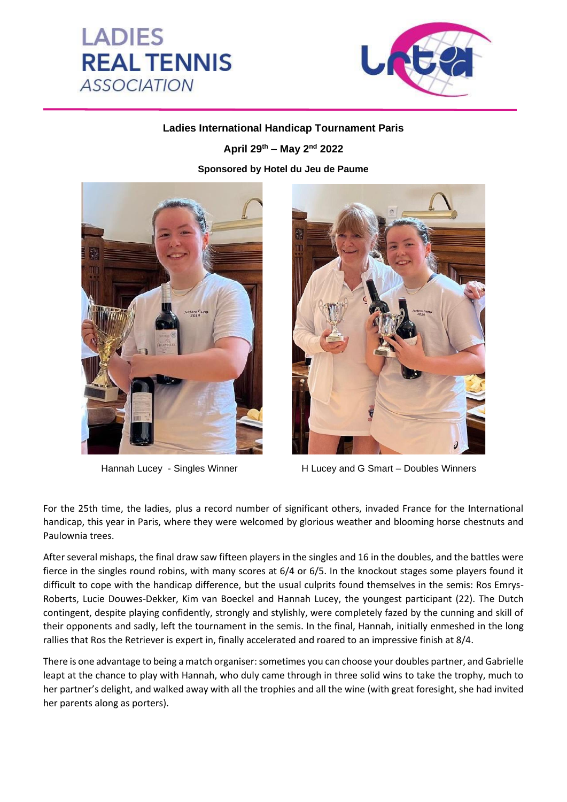



## **Ladies International Handicap Tournament Paris**

**April 29th – May 2nd 2022**

**Sponsored by Hotel du Jeu de Paume**





Hannah Lucey - Singles Winner **H** Lucey and G Smart – Doubles Winners

For the 25th time, the ladies, plus a record number of significant others, invaded France for the International handicap, this year in Paris, where they were welcomed by glorious weather and blooming horse chestnuts and Paulownia trees.

After several mishaps, the final draw saw fifteen players in the singles and 16 in the doubles, and the battles were fierce in the singles round robins, with many scores at 6/4 or 6/5. In the knockout stages some players found it difficult to cope with the handicap difference, but the usual culprits found themselves in the semis: Ros Emrys-Roberts, Lucie Douwes-Dekker, Kim van Boeckel and Hannah Lucey, the youngest participant (22). The Dutch contingent, despite playing confidently, strongly and stylishly, were completely fazed by the cunning and skill of their opponents and sadly, left the tournament in the semis. In the final, Hannah, initially enmeshed in the long rallies that Ros the Retriever is expert in, finally accelerated and roared to an impressive finish at 8/4.

There is one advantage to being a match organiser: sometimes you can choose your doubles partner, and Gabrielle leapt at the chance to play with Hannah, who duly came through in three solid wins to take the trophy, much to her partner's delight, and walked away with all the trophies and all the wine (with great foresight, she had invited her parents along as porters).